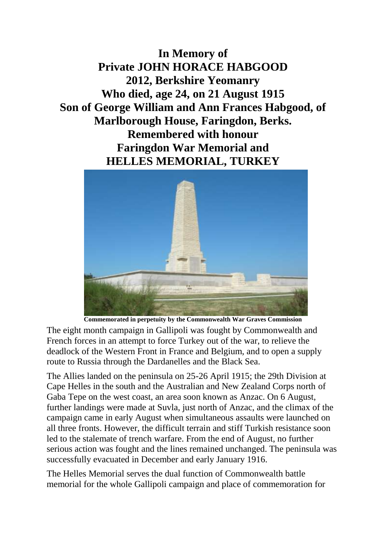**In Memory of Private JOHN HORACE HABGOOD 2012, Berkshire Yeomanry Who died, age 24, on 21 August 1915 Son of George William and Ann Frances Habgood, of Marlborough House, Faringdon, Berks. Remembered with honour Faringdon War Memorial and HELLES MEMORIAL, TURKEY**



**Commemorated in perpetuity by the Commonwealth War Graves Commission**

The eight month campaign in Gallipoli was fought by Commonwealth and French forces in an attempt to force Turkey out of the war, to relieve the deadlock of the Western Front in France and Belgium, and to open a supply route to Russia through the Dardanelles and the Black Sea.

The Allies landed on the peninsula on 25-26 April 1915; the 29th Division at Cape Helles in the south and the Australian and New Zealand Corps north of Gaba Tepe on the west coast, an area soon known as Anzac. On 6 August, further landings were made at Suvla, just north of Anzac, and the climax of the campaign came in early August when simultaneous assaults were launched on all three fronts. However, the difficult terrain and stiff Turkish resistance soon led to the stalemate of trench warfare. From the end of August, no further serious action was fought and the lines remained unchanged. The peninsula was successfully evacuated in December and early January 1916.

The Helles Memorial serves the dual function of Commonwealth battle memorial for the whole Gallipoli campaign and place of commemoration for